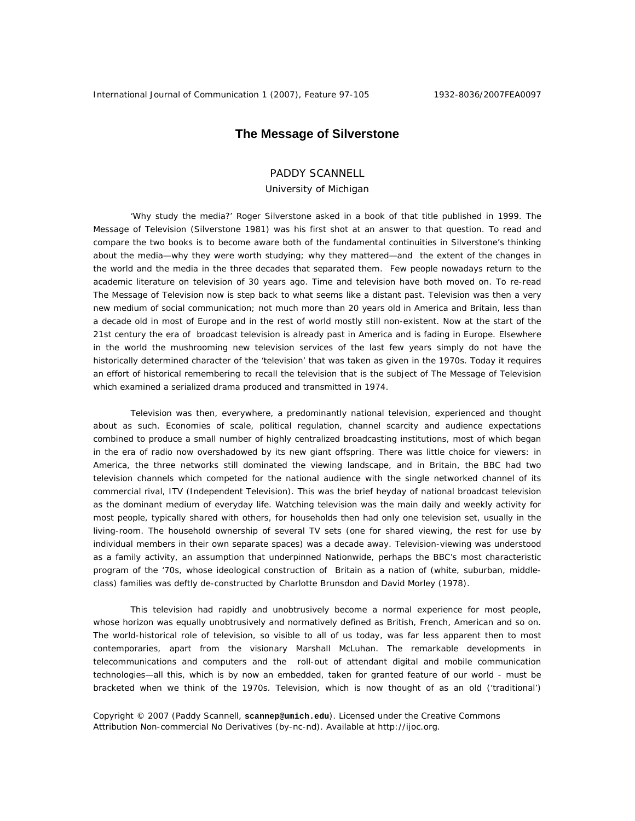# **The Message of Silverstone**

# PADDY SCANNELL

## University of Michigan

'Why study the media?' Roger Silverstone asked in a book of that title published in 1999. The Message of Television (Silverstone 1981) was his first shot at an answer to that question. To read and compare the two books is to become aware both of the fundamental continuities in Silverstone's thinking about the media—why they were worth studying; why they mattered—and the extent of the changes in the world and the media in the three decades that separated them. Few people nowadays return to the academic literature on television of 30 years ago. Time and television have both moved on. To re-read The Message of Television now is step back to what seems like a distant past. Television was then a very new medium of social communication; not much more than 20 years old in America and Britain, less than a decade old in most of Europe and in the rest of world mostly still non-existent. Now at the start of the 21st century the era of broadcast television is already past in America and is fading in Europe. Elsewhere in the world the mushrooming new television services of the last few years simply do not have the historically determined character of the 'television' that was taken as given in the 1970s. Today it requires an effort of historical remembering to recall the television that is the subject of The Message of Television which examined a serialized drama produced and transmitted in 1974.

Television was then, everywhere, a predominantly national television, experienced and thought about as such. Economies of scale, political regulation, channel scarcity and audience expectations combined to produce a small number of highly centralized broadcasting institutions, most of which began in the era of radio now overshadowed by its new giant offspring. There was little choice for viewers: in America, the three networks still dominated the viewing landscape, and in Britain, the BBC had two television channels which competed for the national audience with the single networked channel of its commercial rival, ITV (Independent Television). This was the brief heyday of national broadcast television as the dominant medium of everyday life. Watching television was the main daily and weekly activity for most people, typically shared with others, for households then had only one television set, usually in the living-room. The household ownership of several TV sets (one for shared viewing, the rest for use by individual members in their own separate spaces) was a decade away. Television-viewing was understood as a family activity, an assumption that underpinned Nationwide, perhaps the BBC's most characteristic program of the '70s, whose ideological construction of Britain as a nation of (white, suburban, middleclass) families was deftly de-constructed by Charlotte Brunsdon and David Morley (1978).

This television had rapidly and unobtrusively become a normal experience for most people, whose horizon was equally unobtrusively and normatively defined as British, French, American and so on. The world-historical role of television, so visible to all of us today, was far less apparent then to most contemporaries, apart from the visionary Marshall McLuhan. The remarkable developments in telecommunications and computers and the roll-out of attendant digital and mobile communication technologies—all this, which is by now an embedded, taken for granted feature of our world - must be bracketed when we think of the 1970s. Television, which is now thought of as an old ('traditional')

Copyright © 2007 (Paddy Scannell, **scannep@umich.edu**). Licensed under the Creative Commons Attribution Non-commercial No Derivatives (by-nc-nd). Available at http://ijoc.org.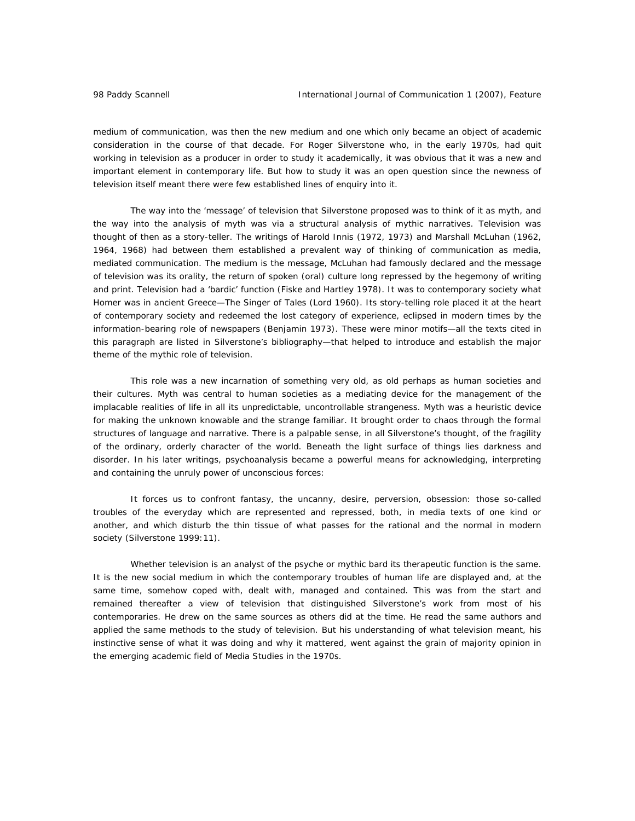medium of communication, was then the new medium and one which only became an object of academic consideration in the course of that decade. For Roger Silverstone who, in the early 1970s, had quit working in television as a producer in order to study it academically, it was obvious that it was a new and important element in contemporary life. But how to study it was an open question since the newness of television itself meant there were few established lines of enquiry into it.

The way into the 'message' of television that Silverstone proposed was to think of it as myth, and the way into the analysis of myth was via a structural analysis of mythic narratives. Television was thought of then as a story-teller. The writings of Harold Innis (1972, 1973) and Marshall McLuhan (1962, 1964, 1968) had between them established a prevalent way of thinking of communication as media, mediated communication. The medium is the message, McLuhan had famously declared and the message of television was its orality, the return of spoken (oral) culture long repressed by the hegemony of writing and print. Television had a 'bardic' function (Fiske and Hartley 1978). It was to contemporary society what Homer was in ancient Greece—The Singer of Tales (Lord 1960). Its story-telling role placed it at the heart of contemporary society and redeemed the lost category of experience, eclipsed in modern times by the information-bearing role of newspapers (Benjamin 1973). These were minor motifs—all the texts cited in this paragraph are listed in Silverstone's bibliography—that helped to introduce and establish the major theme of the mythic role of television.

This role was a new incarnation of something very old, as old perhaps as human societies and their cultures. Myth was central to human societies as a mediating device for the management of the implacable realities of life in all its unpredictable, uncontrollable strangeness. Myth was a heuristic device for making the unknown knowable and the strange familiar. It brought order to chaos through the formal structures of language and narrative. There is a palpable sense, in all Silverstone's thought, of the fragility of the ordinary, orderly character of the world. Beneath the light surface of things lies darkness and disorder. In his later writings, psychoanalysis became a powerful means for acknowledging, interpreting and containing the unruly power of unconscious forces:

It forces us to confront fantasy, the uncanny, desire, perversion, obsession: those so-called troubles of the everyday which are represented and repressed, both, in media texts of one kind or another, and which disturb the thin tissue of what passes for the rational and the normal in modern society (Silverstone 1999:11).

Whether television is an analyst of the psyche or mythic bard its therapeutic function is the same. It is the new social medium in which the contemporary troubles of human life are displayed and, at the same time, somehow coped with, dealt with, managed and contained. This was from the start and remained thereafter a view of television that distinguished Silverstone's work from most of his contemporaries. He drew on the same sources as others did at the time. He read the same authors and applied the same methods to the study of television. But his understanding of what television meant, his instinctive sense of what it was doing and why it mattered, went against the grain of majority opinion in the emerging academic field of Media Studies in the 1970s.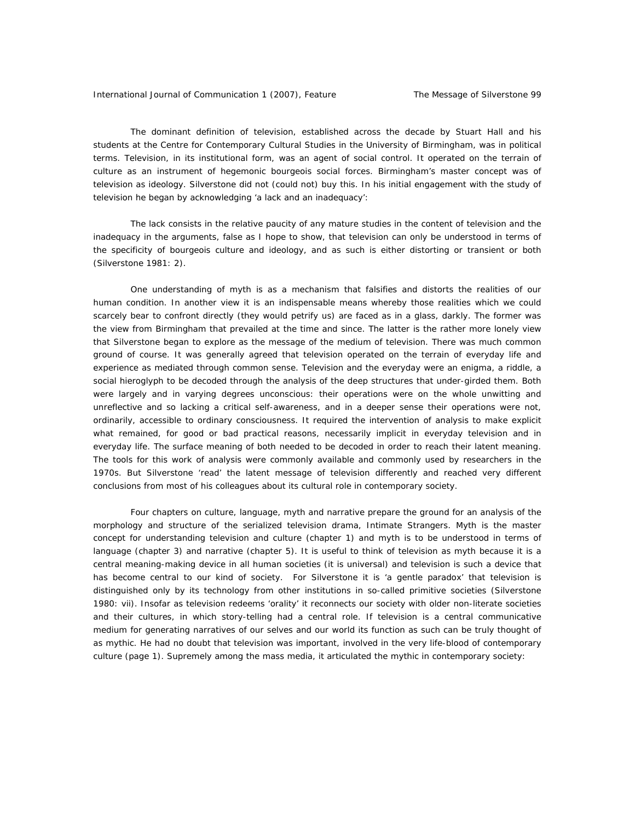The dominant definition of television, established across the decade by Stuart Hall and his students at the Centre for Contemporary Cultural Studies in the University of Birmingham, was in political terms. Television, in its institutional form, was an agent of social control. It operated on the terrain of culture as an instrument of hegemonic bourgeois social forces. Birmingham's master concept was of television as ideology. Silverstone did not (could not) buy this. In his initial engagement with the study of television he began by acknowledging 'a lack and an inadequacy':

The lack consists in the relative paucity of any mature studies in the content of television and the inadequacy in the arguments, false as I hope to show, that television can only be understood in terms of the specificity of bourgeois culture and ideology, and as such is either distorting or transient or both (Silverstone 1981: 2).

One understanding of myth is as a mechanism that falsifies and distorts the realities of our human condition. In another view it is an indispensable means whereby those realities which we could scarcely bear to confront directly (they would petrify us) are faced as in a glass, darkly. The former was the view from Birmingham that prevailed at the time and since. The latter is the rather more lonely view that Silverstone began to explore as the message of the medium of television. There was much common ground of course. It was generally agreed that television operated on the terrain of everyday life and experience as mediated through common sense. Television and the everyday were an enigma, a riddle, a social hieroglyph to be decoded through the analysis of the deep structures that under-girded them. Both were largely and in varying degrees unconscious: their operations were on the whole unwitting and unreflective and so lacking a critical self-awareness, and in a deeper sense their operations were not, ordinarily, accessible to ordinary consciousness. It required the intervention of analysis to make explicit what remained, for good or bad practical reasons, necessarily implicit in everyday television and in everyday life. The surface meaning of both needed to be decoded in order to reach their latent meaning. The tools for this work of analysis were commonly available and commonly used by researchers in the 1970s. But Silverstone 'read' the latent message of television differently and reached very different conclusions from most of his colleagues about its cultural role in contemporary society.

Four chapters on culture, language, myth and narrative prepare the ground for an analysis of the morphology and structure of the serialized television drama, Intimate Strangers. Myth is the master concept for understanding television and culture (chapter 1) and myth is to be understood in terms of language (chapter 3) and narrative (chapter 5). It is useful to think of television as myth because it is a central meaning-making device in all human societies (it is universal) and television is such a device that has become central to our kind of society. For Silverstone it is 'a gentle paradox' that television is distinguished only by its technology from other institutions in so-called primitive societies (Silverstone 1980: vii). Insofar as television redeems 'orality' it reconnects our society with older non-literate societies and their cultures, in which story-telling had a central role. If television is a central communicative medium for generating narratives of our selves and our world its function as such can be truly thought of as mythic. He had no doubt that television was important, involved in the very life-blood of contemporary culture (page 1). Supremely among the mass media, it articulated the mythic in contemporary society: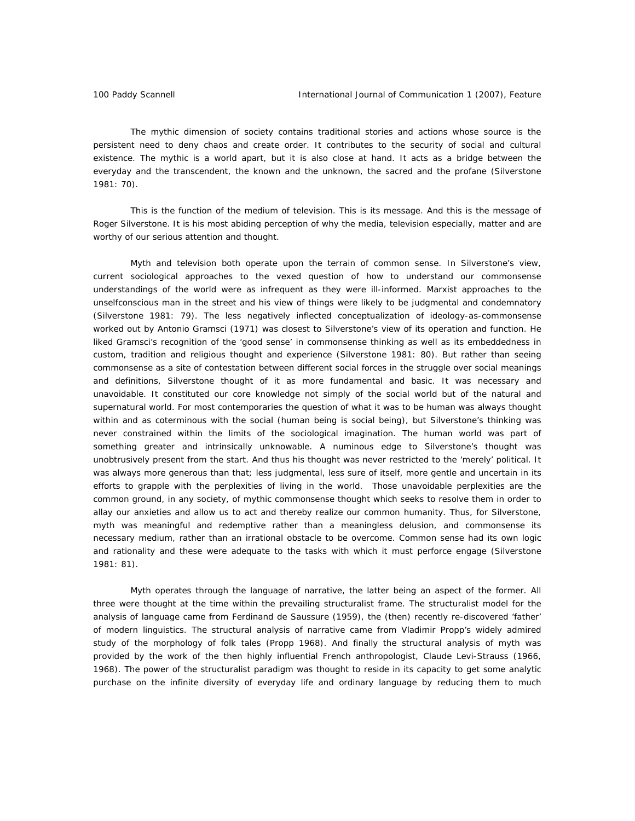The mythic dimension of society contains traditional stories and actions whose source is the persistent need to deny chaos and create order. It contributes to the security of social and cultural existence. The mythic is a world apart, but it is also close at hand. It acts as a bridge between the everyday and the transcendent, the known and the unknown, the sacred and the profane (Silverstone 1981: 70).

This is the function of the medium of television. This is its message. And this is the message of Roger Silverstone. It is his most abiding perception of why the media, television especially, matter and are worthy of our serious attention and thought.

Myth and television both operate upon the terrain of common sense. In Silverstone's view, current sociological approaches to the vexed question of how to understand our commonsense understandings of the world were as infrequent as they were ill-informed. Marxist approaches to the unselfconscious man in the street and his view of things were likely to be judgmental and condemnatory (Silverstone 1981: 79). The less negatively inflected conceptualization of ideology-as-commonsense worked out by Antonio Gramsci (1971) was closest to Silverstone's view of its operation and function. He liked Gramsci's recognition of the 'good sense' in commonsense thinking as well as its embeddedness in custom, tradition and religious thought and experience (Silverstone 1981: 80). But rather than seeing commonsense as a site of contestation between different social forces in the struggle over social meanings and definitions, Silverstone thought of it as more fundamental and basic. It was necessary and unavoidable. It constituted our core knowledge not simply of the social world but of the natural and supernatural world. For most contemporaries the question of what it was to be human was always thought within and as coterminous with the social (human being is social being), but Silverstone's thinking was never constrained within the limits of the sociological imagination. The human world was part of something greater and intrinsically unknowable. A numinous edge to Silverstone's thought was unobtrusively present from the start. And thus his thought was never restricted to the 'merely' political. It was always more generous than that; less judgmental, less sure of itself, more gentle and uncertain in its efforts to grapple with the perplexities of living in the world. Those unavoidable perplexities are the common ground, in any society, of mythic commonsense thought which seeks to resolve them in order to allay our anxieties and allow us to act and thereby realize our common humanity. Thus, for Silverstone, myth was meaningful and redemptive rather than a meaningless delusion, and commonsense its necessary medium, rather than an irrational obstacle to be overcome. Common sense had its own logic and rationality and these were adequate to the tasks with which it must perforce engage (Silverstone 1981: 81).

Myth operates through the language of narrative, the latter being an aspect of the former. All three were thought at the time within the prevailing structuralist frame. The structuralist model for the analysis of language came from Ferdinand de Saussure (1959), the (then) recently re-discovered 'father' of modern linguistics. The structural analysis of narrative came from Vladimir Propp's widely admired study of the morphology of folk tales (Propp 1968). And finally the structural analysis of myth was provided by the work of the then highly influential French anthropologist, Claude Levi-Strauss (1966, 1968). The power of the structuralist paradigm was thought to reside in its capacity to get some analytic purchase on the infinite diversity of everyday life and ordinary language by reducing them to much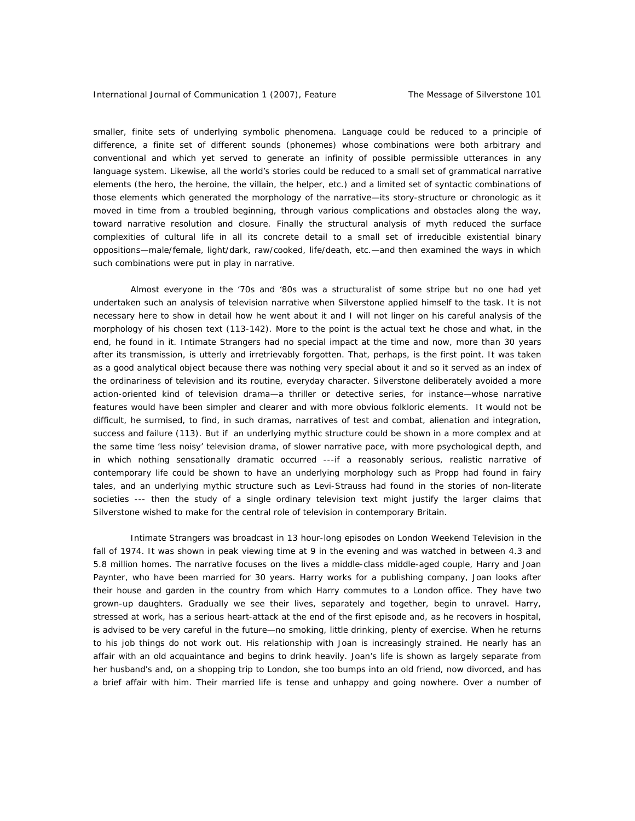smaller, finite sets of underlying symbolic phenomena. Language could be reduced to a principle of difference, a finite set of different sounds (phonemes) whose combinations were both arbitrary and conventional and which yet served to generate an infinity of possible permissible utterances in any language system. Likewise, all the world's stories could be reduced to a small set of grammatical narrative elements (the hero, the heroine, the villain, the helper, etc.) and a limited set of syntactic combinations of those elements which generated the morphology of the narrative—its story-structure or chronologic as it moved in time from a troubled beginning, through various complications and obstacles along the way, toward narrative resolution and closure. Finally the structural analysis of myth reduced the surface complexities of cultural life in all its concrete detail to a small set of irreducible existential binary oppositions—male/female, light/dark, raw/cooked, life/death, etc.—and then examined the ways in which such combinations were put in play in narrative.

Almost everyone in the '70s and '80s was a structuralist of some stripe but no one had yet undertaken such an analysis of television narrative when Silverstone applied himself to the task. It is not necessary here to show in detail how he went about it and I will not linger on his careful analysis of the morphology of his chosen text (113-142). More to the point is the actual text he chose and what, in the end, he found in it. Intimate Strangers had no special impact at the time and now, more than 30 years after its transmission, is utterly and irretrievably forgotten. That, perhaps, is the first point. It was taken as a good analytical object because there was nothing very special about it and so it served as an index of the ordinariness of television and its routine, everyday character. Silverstone deliberately avoided a more action-oriented kind of television drama—a thriller or detective series, for instance—whose narrative features would have been simpler and clearer and with more obvious folkloric elements. It would not be difficult, he surmised, to find, in such dramas, narratives of test and combat, alienation and integration, success and failure (113). But if an underlying mythic structure could be shown in a more complex and at the same time 'less noisy' television drama, of slower narrative pace, with more psychological depth, and in which nothing sensationally dramatic occurred ---if a reasonably serious, realistic narrative of contemporary life could be shown to have an underlying morphology such as Propp had found in fairy tales, and an underlying mythic structure such as Levi-Strauss had found in the stories of non-literate societies --- then the study of a single ordinary television text might justify the larger claims that Silverstone wished to make for the central role of television in contemporary Britain.

Intimate Strangers was broadcast in 13 hour-long episodes on London Weekend Television in the fall of 1974. It was shown in peak viewing time at 9 in the evening and was watched in between 4.3 and 5.8 million homes. The narrative focuses on the lives a middle-class middle-aged couple, Harry and Joan Paynter, who have been married for 30 years. Harry works for a publishing company, Joan looks after their house and garden in the country from which Harry commutes to a London office. They have two grown-up daughters. Gradually we see their lives, separately and together, begin to unravel. Harry, stressed at work, has a serious heart-attack at the end of the first episode and, as he recovers in hospital, is advised to be very careful in the future—no smoking, little drinking, plenty of exercise. When he returns to his job things do not work out. His relationship with Joan is increasingly strained. He nearly has an affair with an old acquaintance and begins to drink heavily. Joan's life is shown as largely separate from her husband's and, on a shopping trip to London, she too bumps into an old friend, now divorced, and has a brief affair with him. Their married life is tense and unhappy and going nowhere. Over a number of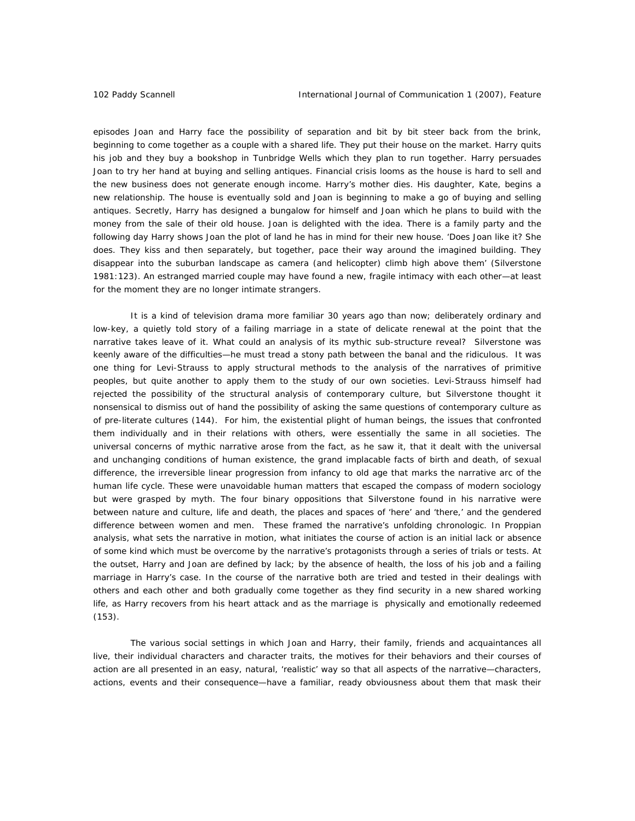episodes Joan and Harry face the possibility of separation and bit by bit steer back from the brink, beginning to come together as a couple with a shared life. They put their house on the market. Harry quits his job and they buy a bookshop in Tunbridge Wells which they plan to run together. Harry persuades Joan to try her hand at buying and selling antiques. Financial crisis looms as the house is hard to sell and the new business does not generate enough income. Harry's mother dies. His daughter, Kate, begins a new relationship. The house is eventually sold and Joan is beginning to make a go of buying and selling antiques. Secretly, Harry has designed a bungalow for himself and Joan which he plans to build with the money from the sale of their old house. Joan is delighted with the idea. There is a family party and the following day Harry shows Joan the plot of land he has in mind for their new house. 'Does Joan like it? She does. They kiss and then separately, but together, pace their way around the imagined building. They disappear into the suburban landscape as camera (and helicopter) climb high above them' (Silverstone 1981:123). An estranged married couple may have found a new, fragile intimacy with each other—at least for the moment they are no longer intimate strangers.

It is a kind of television drama more familiar 30 years ago than now; deliberately ordinary and low-key, a quietly told story of a failing marriage in a state of delicate renewal at the point that the narrative takes leave of it. What could an analysis of its mythic sub-structure reveal? Silverstone was keenly aware of the difficulties—he must tread a stony path between the banal and the ridiculous. It was one thing for Levi-Strauss to apply structural methods to the analysis of the narratives of primitive peoples, but quite another to apply them to the study of our own societies. Levi-Strauss himself had rejected the possibility of the structural analysis of contemporary culture, but Silverstone thought it nonsensical to dismiss out of hand the possibility of asking the same questions of contemporary culture as of pre-literate cultures (144). For him, the existential plight of human beings, the issues that confronted them individually and in their relations with others, were essentially the same in all societies. The universal concerns of mythic narrative arose from the fact, as he saw it, that it dealt with the universal and unchanging conditions of human existence, the grand implacable facts of birth and death, of sexual difference, the irreversible linear progression from infancy to old age that marks the narrative arc of the human life cycle. These were unavoidable human matters that escaped the compass of modern sociology but were grasped by myth. The four binary oppositions that Silverstone found in his narrative were between nature and culture, life and death, the places and spaces of 'here' and 'there,' and the gendered difference between women and men. These framed the narrative's unfolding chronologic. In Proppian analysis, what sets the narrative in motion, what initiates the course of action is an initial lack or absence of some kind which must be overcome by the narrative's protagonists through a series of trials or tests. At the outset, Harry and Joan are defined by lack; by the absence of health, the loss of his job and a failing marriage in Harry's case. In the course of the narrative both are tried and tested in their dealings with others and each other and both gradually come together as they find security in a new shared working life, as Harry recovers from his heart attack and as the marriage is physically and emotionally redeemed (153).

The various social settings in which Joan and Harry, their family, friends and acquaintances all live, their individual characters and character traits, the motives for their behaviors and their courses of action are all presented in an easy, natural, 'realistic' way so that all aspects of the narrative—characters, actions, events and their consequence—have a familiar, ready obviousness about them that mask their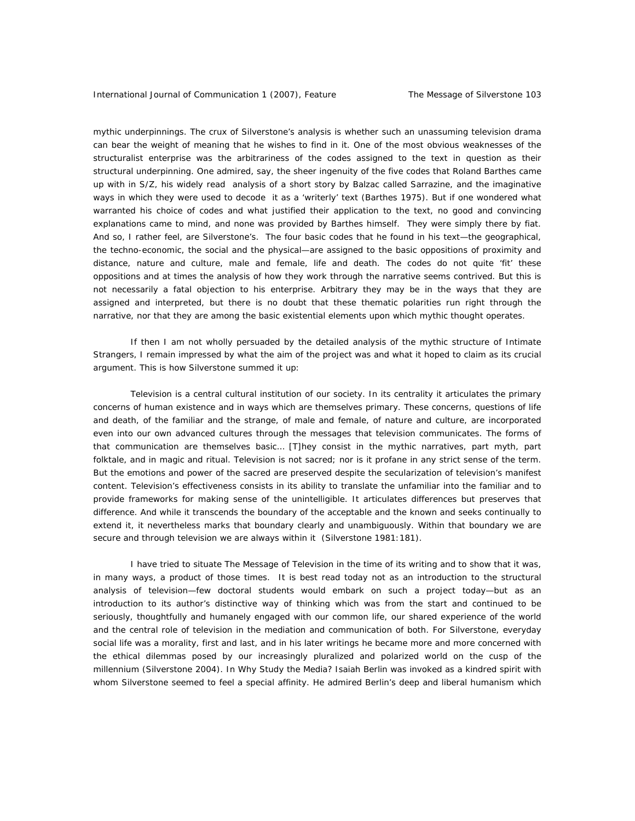mythic underpinnings. The crux of Silverstone's analysis is whether such an unassuming television drama can bear the weight of meaning that he wishes to find in it. One of the most obvious weaknesses of the structuralist enterprise was the arbitrariness of the codes assigned to the text in question as their structural underpinning. One admired, say, the sheer ingenuity of the five codes that Roland Barthes came up with in S/Z, his widely read analysis of a short story by Balzac called Sarrazine, and the imaginative ways in which they were used to decode it as a 'writerly' text (Barthes 1975). But if one wondered what warranted his choice of codes and what justified their application to the text, no good and convincing explanations came to mind, and none was provided by Barthes himself. They were simply there by fiat. And so, I rather feel, are Silverstone's. The four basic codes that he found in his text—the geographical, the techno-economic, the social and the physical—are assigned to the basic oppositions of proximity and distance, nature and culture, male and female, life and death. The codes do not quite 'fit' these oppositions and at times the analysis of how they work through the narrative seems contrived. But this is not necessarily a fatal objection to his enterprise. Arbitrary they may be in the ways that they are assigned and interpreted, but there is no doubt that these thematic polarities run right through the narrative, nor that they are among the basic existential elements upon which mythic thought operates.

If then I am not wholly persuaded by the detailed analysis of the mythic structure of Intimate Strangers, I remain impressed by what the aim of the project was and what it hoped to claim as its crucial argument. This is how Silverstone summed it up:

Television is a central cultural institution of our society. In its centrality it articulates the primary concerns of human existence and in ways which are themselves primary. These concerns, questions of life and death, of the familiar and the strange, of male and female, of nature and culture, are incorporated even into our own advanced cultures through the messages that television communicates. The forms of that communication are themselves basic… [T]hey consist in the mythic narratives, part myth, part folktale, and in magic and ritual. Television is not sacred; nor is it profane in any strict sense of the term. But the emotions and power of the sacred are preserved despite the secularization of television's manifest content. Television's effectiveness consists in its ability to translate the unfamiliar into the familiar and to provide frameworks for making sense of the unintelligible. It articulates differences but preserves that difference. And while it transcends the boundary of the acceptable and the known and seeks continually to extend it, it nevertheless marks that boundary clearly and unambiguously. Within that boundary we are secure and through television we are always within it (Silverstone 1981:181).

I have tried to situate The Message of Television in the time of its writing and to show that it was, in many ways, a product of those times. It is best read today not as an introduction to the structural analysis of television—few doctoral students would embark on such a project today—but as an introduction to its author's distinctive way of thinking which was from the start and continued to be seriously, thoughtfully and humanely engaged with our common life, our shared experience of the world and the central role of television in the mediation and communication of both. For Silverstone, everyday social life was a morality, first and last, and in his later writings he became more and more concerned with the ethical dilemmas posed by our increasingly pluralized and polarized world on the cusp of the millennium (Silverstone 2004). In Why Study the Media? Isaiah Berlin was invoked as a kindred spirit with whom Silverstone seemed to feel a special affinity. He admired Berlin's deep and liberal humanism which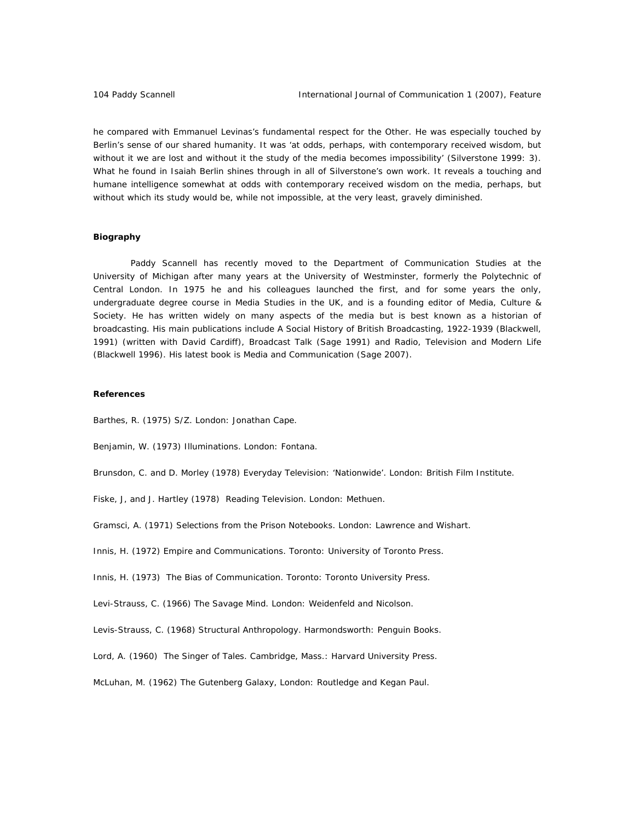he compared with Emmanuel Levinas's fundamental respect for the Other. He was especially touched by Berlin's sense of our shared humanity. It was 'at odds, perhaps, with contemporary received wisdom, but without it we are lost and without it the study of the media becomes impossibility' (Silverstone 1999: 3). What he found in Isaiah Berlin shines through in all of Silverstone's own work. It reveals a touching and humane intelligence somewhat at odds with contemporary received wisdom on the media, perhaps, but without which its study would be, while not impossible, at the very least, gravely diminished.

### **Biography**

Paddy Scannell has recently moved to the Department of Communication Studies at the University of Michigan after many years at the University of Westminster, formerly the Polytechnic of Central London. In 1975 he and his colleagues launched the first, and for some years the only, undergraduate degree course in Media Studies in the UK, and is a founding editor of Media, Culture & Society. He has written widely on many aspects of the media but is best known as a historian of broadcasting. His main publications include A Social History of British Broadcasting, 1922-1939 (Blackwell, 1991) (written with David Cardiff), Broadcast Talk (Sage 1991) and Radio, Television and Modern Life (Blackwell 1996). His latest book is Media and Communication (Sage 2007).

### **References**

Barthes, R. (1975) S/Z. London: Jonathan Cape.

Benjamin, W. (1973) Illuminations. London: Fontana.

Brunsdon, C. and D. Morley (1978) Everyday Television: 'Nationwide'. London: British Film Institute.

Fiske, J, and J. Hartley (1978) Reading Television. London: Methuen.

Gramsci, A. (1971) Selections from the Prison Notebooks. London: Lawrence and Wishart.

Innis, H. (1972) Empire and Communications. Toronto: University of Toronto Press.

Innis, H. (1973) The Bias of Communication. Toronto: Toronto University Press.

Levi-Strauss, C. (1966) The Savage Mind. London: Weidenfeld and Nicolson.

Levis-Strauss, C. (1968) Structural Anthropology. Harmondsworth: Penguin Books.

Lord, A. (1960) The Singer of Tales. Cambridge, Mass.: Harvard University Press.

McLuhan, M. (1962) The Gutenberg Galaxy, London: Routledge and Kegan Paul.